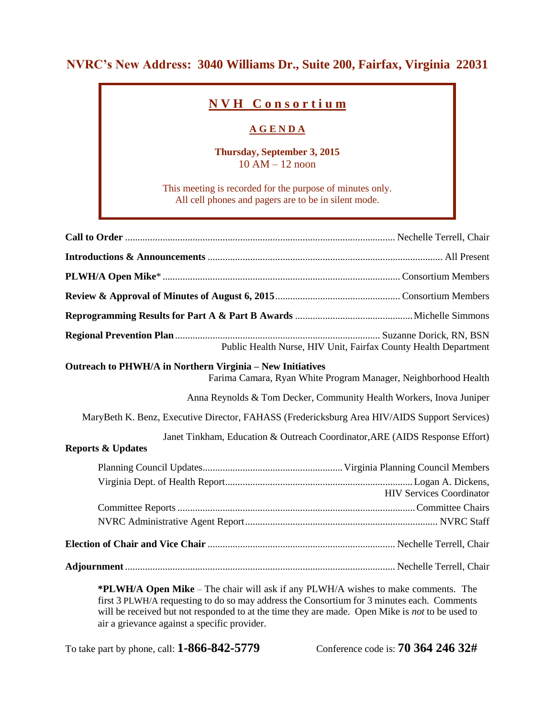## **NVRC's New Address: 3040 Williams Dr., Suite 200, Fairfax, Virginia 22031**

## **N V H C o n s o r t i u m**

## **A G E N D A**

**Thursday, September 3, 2015** 10 AM – 12 noon

This meeting is recorded for the purpose of minutes only. All cell phones and pagers are to be in silent mode.

| Public Health Nurse, HIV Unit, Fairfax County Health Department                                                             |                                 |
|-----------------------------------------------------------------------------------------------------------------------------|---------------------------------|
| Outreach to PHWH/A in Northern Virginia - New Initiatives<br>Farima Camara, Ryan White Program Manager, Neighborhood Health |                                 |
| Anna Reynolds & Tom Decker, Community Health Workers, Inova Juniper                                                         |                                 |
| MaryBeth K. Benz, Executive Director, FAHASS (Fredericksburg Area HIV/AIDS Support Services)                                |                                 |
| Janet Tinkham, Education & Outreach Coordinator, ARE (AIDS Response Effort)<br><b>Reports &amp; Updates</b>                 |                                 |
|                                                                                                                             |                                 |
|                                                                                                                             | <b>HIV Services Coordinator</b> |
|                                                                                                                             |                                 |
|                                                                                                                             |                                 |
|                                                                                                                             |                                 |
|                                                                                                                             |                                 |
| $\star$ DI UIII A M'I THAI ' 'II I 'C DI UIIII'A 'I A I                                                                     |                                 |

**\*PLWH/A Open Mike** – The chair will ask if any PLWH/A wishes to make comments. The first 3 PLWH/A requesting to do so may address the Consortium for 3 minutes each. Comments will be received but not responded to at the time they are made. Open Mike is *not* to be used to air a grievance against a specific provider.

To take part by phone, call: **1-866-842-5779** Conference code is: **70 364 246 32#**